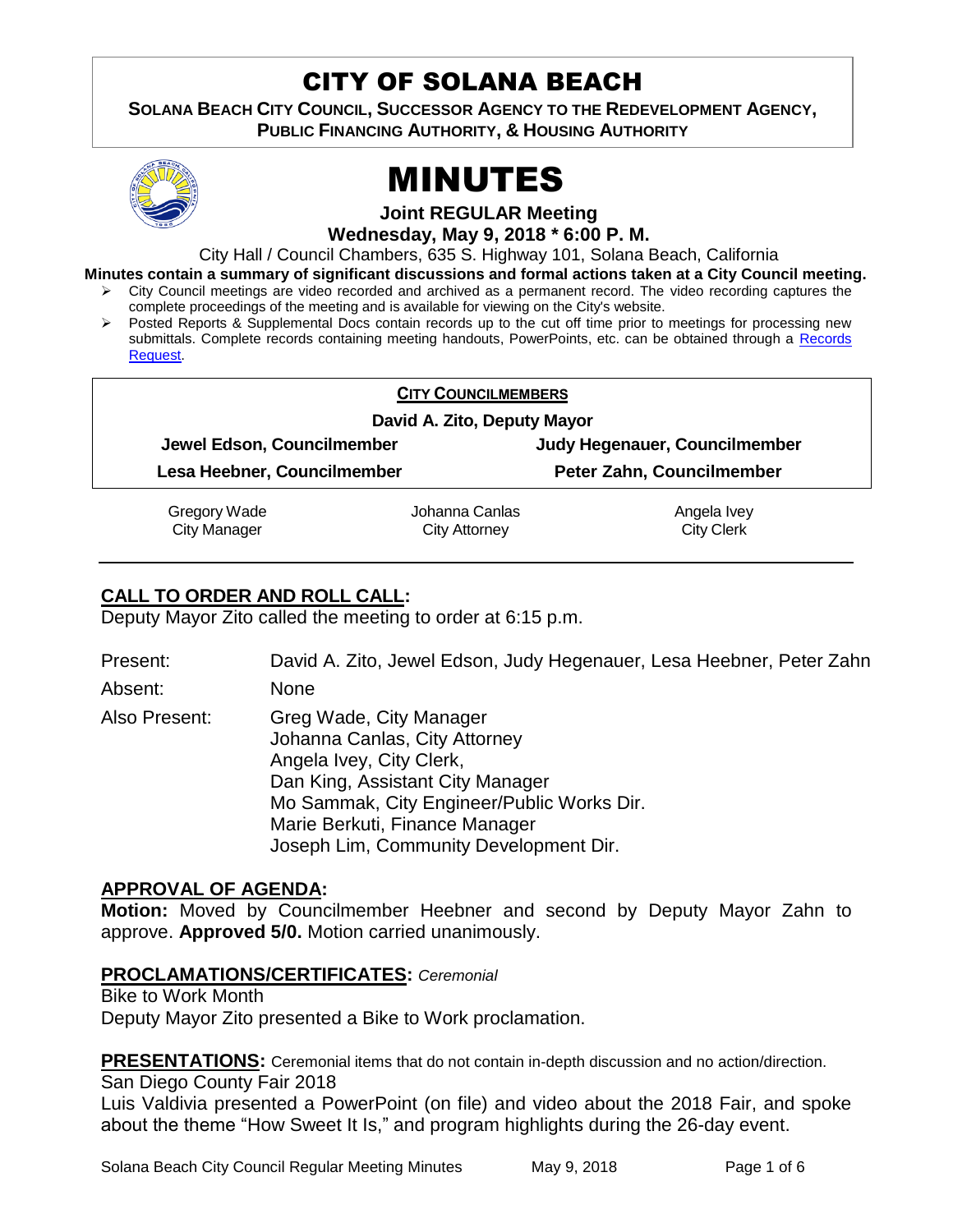# CITY OF SOLANA BEACH

**SOLANA BEACH CITY COUNCIL, SUCCESSOR AGENCY TO THE REDEVELOPMENT AGENCY, PUBLIC FINANCING AUTHORITY, & HOUSING AUTHORITY** 



# MINUTES

**Joint REGULAR Meeting**

**Wednesday, May 9, 2018 \* 6:00 P. M.**

City Hall / Council Chambers, 635 S. Highway 101, Solana Beach, California

**Minutes contain a summary of significant discussions and formal actions taken at a City Council meeting.**

- City Council meetings are video recorded and archived as a permanent record. The video recording captures the complete proceedings of the meeting and is available for viewing on the City's website.
- $\triangleright$  Posted Reports & Supplemental Docs contain records up to the cut off time prior to meetings for processing new submittals. Complete records containing meeting handouts, PowerPoints, etc. can be obtained through a [Records](http://www.ci.solana-beach.ca.us/index.asp?SEC=F5D45D10-70CE-4291-A27C-7BD633FC6742&Type=B_BASIC)  [Request.](http://www.ci.solana-beach.ca.us/index.asp?SEC=F5D45D10-70CE-4291-A27C-7BD633FC6742&Type=B_BASIC)

| <b>CITY COUNCILMEMBERS</b>  |                |                               |  |
|-----------------------------|----------------|-------------------------------|--|
| David A. Zito, Deputy Mayor |                |                               |  |
| Jewel Edson, Councilmember  |                | Judy Hegenauer, Councilmember |  |
| Lesa Heebner, Councilmember |                | Peter Zahn, Councilmember     |  |
| Gregory Wade                | Johanna Canlas | Angela Ivey                   |  |
| <b>City Manager</b>         | City Attorney  | <b>City Clerk</b>             |  |

# **CALL TO ORDER AND ROLL CALL:**

Deputy Mayor Zito called the meeting to order at 6:15 p.m.

Present: David A. Zito, Jewel Edson, Judy Hegenauer, Lesa Heebner, Peter Zahn Absent: None

Also Present: Greg Wade, City Manager Johanna Canlas, City Attorney Angela Ivey, City Clerk, Dan King, Assistant City Manager Mo Sammak, City Engineer/Public Works Dir. Marie Berkuti, Finance Manager Joseph Lim, Community Development Dir.

# **APPROVAL OF AGENDA:**

**Motion:** Moved by Councilmember Heebner and second by Deputy Mayor Zahn to approve. **Approved 5/0.** Motion carried unanimously.

# **PROCLAMATIONS/CERTIFICATES:** *Ceremonial*

Bike to Work Month Deputy Mayor Zito presented a Bike to Work proclamation.

**PRESENTATIONS:** Ceremonial items that do not contain in-depth discussion and no action/direction. San Diego County Fair 2018

Luis Valdivia presented a PowerPoint (on file) and video about the 2018 Fair, and spoke about the theme "How Sweet It Is," and program highlights during the 26-day event.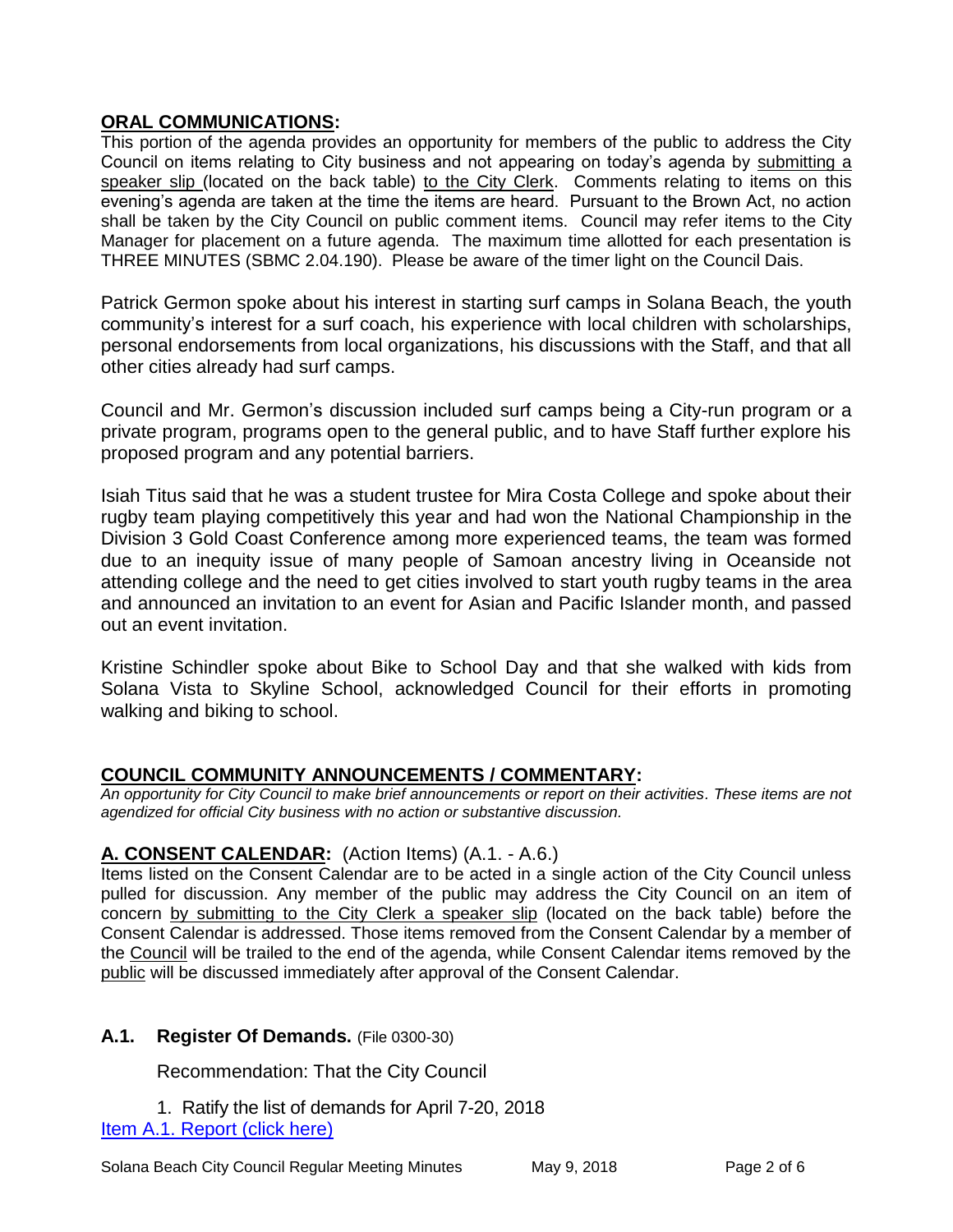# **ORAL COMMUNICATIONS:**

This portion of the agenda provides an opportunity for members of the public to address the City Council on items relating to City business and not appearing on today's agenda by submitting a speaker slip (located on the back table) to the City Clerk. Comments relating to items on this evening's agenda are taken at the time the items are heard. Pursuant to the Brown Act, no action shall be taken by the City Council on public comment items. Council may refer items to the City Manager for placement on a future agenda. The maximum time allotted for each presentation is THREE MINUTES (SBMC 2.04.190). Please be aware of the timer light on the Council Dais.

Patrick Germon spoke about his interest in starting surf camps in Solana Beach, the youth community's interest for a surf coach, his experience with local children with scholarships, personal endorsements from local organizations, his discussions with the Staff, and that all other cities already had surf camps.

Council and Mr. Germon's discussion included surf camps being a City-run program or a private program, programs open to the general public, and to have Staff further explore his proposed program and any potential barriers.

Isiah Titus said that he was a student trustee for Mira Costa College and spoke about their rugby team playing competitively this year and had won the National Championship in the Division 3 Gold Coast Conference among more experienced teams, the team was formed due to an inequity issue of many people of Samoan ancestry living in Oceanside not attending college and the need to get cities involved to start youth rugby teams in the area and announced an invitation to an event for Asian and Pacific Islander month, and passed out an event invitation.

Kristine Schindler spoke about Bike to School Day and that she walked with kids from Solana Vista to Skyline School, acknowledged Council for their efforts in promoting walking and biking to school.

# **COUNCIL COMMUNITY ANNOUNCEMENTS / COMMENTARY:**

*An opportunity for City Council to make brief announcements or report on their activities. These items are not agendized for official City business with no action or substantive discussion.* 

# **A. CONSENT CALENDAR:** (Action Items) (A.1. - A.6.)

Items listed on the Consent Calendar are to be acted in a single action of the City Council unless pulled for discussion. Any member of the public may address the City Council on an item of concern by submitting to the City Clerk a speaker slip (located on the back table) before the Consent Calendar is addressed. Those items removed from the Consent Calendar by a member of the Council will be trailed to the end of the agenda, while Consent Calendar items removed by the public will be discussed immediately after approval of the Consent Calendar.

# **A.1. Register Of Demands.** (File 0300-30)

Recommendation: That the City Council

1. Ratify the list of demands for April 7-20, 2018 [Item A.1. Report \(click here\)](https://solanabeach.govoffice3.com/vertical/Sites/%7B840804C2-F869-4904-9AE3-720581350CE7%7D/uploads/Item_A.1._Report_(click_here)_5-9-18.PDF)

Solana Beach City Council Regular Meeting Minutes May 9, 2018 Page 2 of 6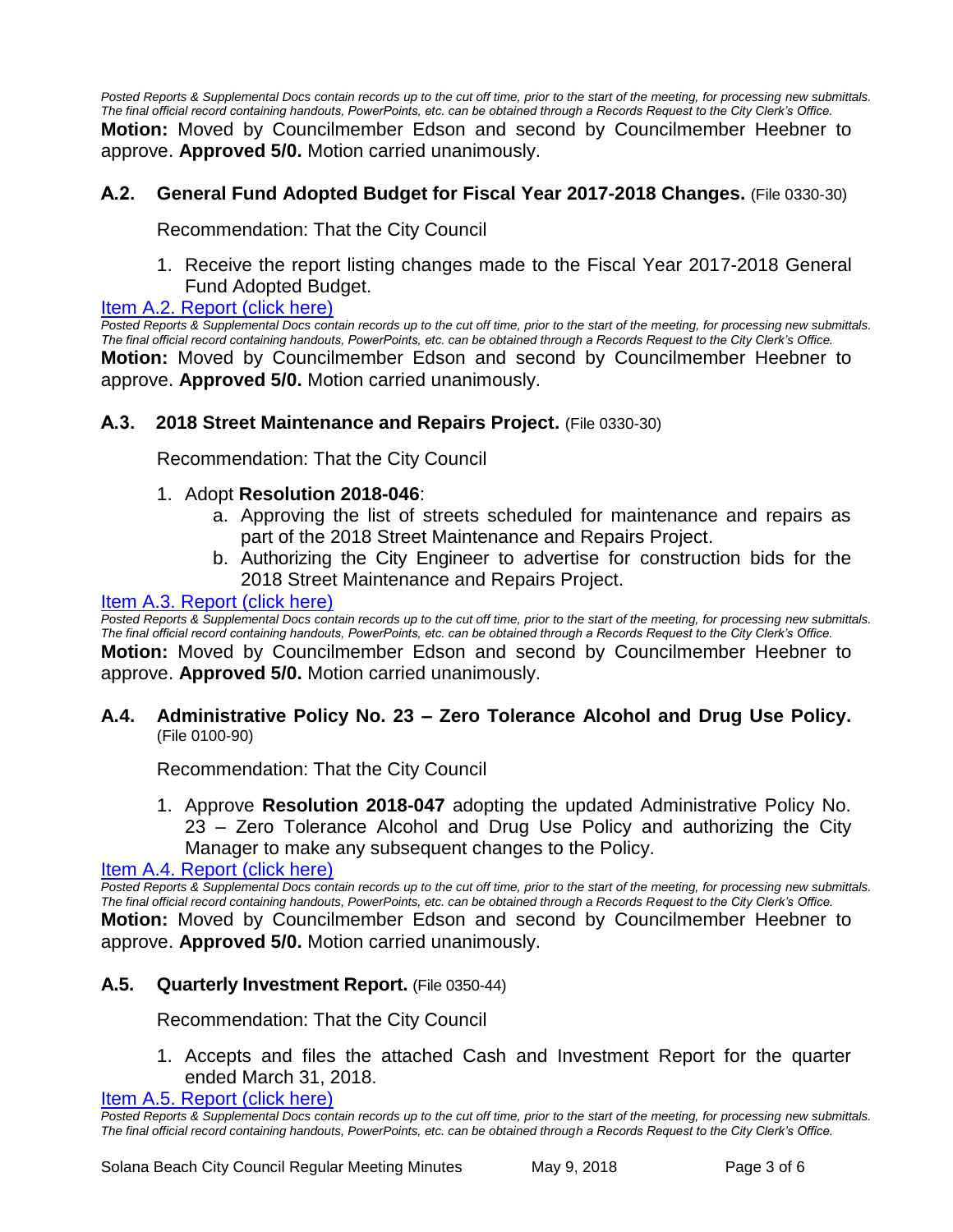*Posted Reports & Supplemental Docs contain records up to the cut off time, prior to the start of the meeting, for processing new submittals. The final official record containing handouts, PowerPoints, etc. can be obtained through a Records Request to the City Clerk's Office.* **Motion:** Moved by Councilmember Edson and second by Councilmember Heebner to approve. **Approved 5/0.** Motion carried unanimously.

# **A.2. General Fund Adopted Budget for Fiscal Year 2017-2018 Changes.** (File 0330-30)

Recommendation: That the City Council

1. Receive the report listing changes made to the Fiscal Year 2017-2018 General Fund Adopted Budget.

#### [Item A.2. Report \(click here\)](https://solanabeach.govoffice3.com/vertical/Sites/%7B840804C2-F869-4904-9AE3-720581350CE7%7D/uploads/Item_A.2._Report_(click_here)_5-9-18.PDF)

*Posted Reports & Supplemental Docs contain records up to the cut off time, prior to the start of the meeting, for processing new submittals. The final official record containing handouts, PowerPoints, etc. can be obtained through a Records Request to the City Clerk's Office.* **Motion:** Moved by Councilmember Edson and second by Councilmember Heebner to approve. **Approved 5/0.** Motion carried unanimously.

#### **A.3. 2018 Street Maintenance and Repairs Project.** (File 0330-30)

Recommendation: That the City Council

#### 1. Adopt **Resolution 2018-046**:

- a. Approving the list of streets scheduled for maintenance and repairs as part of the 2018 Street Maintenance and Repairs Project.
- b. Authorizing the City Engineer to advertise for construction bids for the 2018 Street Maintenance and Repairs Project.

## [Item A.3. Report \(click here\)](https://solanabeach.govoffice3.com/vertical/Sites/%7B840804C2-F869-4904-9AE3-720581350CE7%7D/uploads/Item_A.3._Report_(click_here)_5-9-18.PDF)

*Posted Reports & Supplemental Docs contain records up to the cut off time, prior to the start of the meeting, for processing new submittals. The final official record containing handouts, PowerPoints, etc. can be obtained through a Records Request to the City Clerk's Office.* **Motion:** Moved by Councilmember Edson and second by Councilmember Heebner to

approve. **Approved 5/0.** Motion carried unanimously.

#### **A.4. Administrative Policy No. 23 – Zero Tolerance Alcohol and Drug Use Policy.** (File 0100-90)

Recommendation: That the City Council

1. Approve **Resolution 2018-047** adopting the updated Administrative Policy No. 23 – Zero Tolerance Alcohol and Drug Use Policy and authorizing the City Manager to make any subsequent changes to the Policy.

[Item A.4. Report \(click here\)](https://solanabeach.govoffice3.com/vertical/Sites/%7B840804C2-F869-4904-9AE3-720581350CE7%7D/uploads/Item_A.4._Report_(click_here)_5-9-18.PDF)

*Posted Reports & Supplemental Docs contain records up to the cut off time, prior to the start of the meeting, for processing new submittals. The final official record containing handouts, PowerPoints, etc. can be obtained through a Records Request to the City Clerk's Office.* **Motion:** Moved by Councilmember Edson and second by Councilmember Heebner to approve. **Approved 5/0.** Motion carried unanimously.

#### **A.5. Quarterly Investment Report.** (File 0350-44)

Recommendation: That the City Council

1. Accepts and files the attached Cash and Investment Report for the quarter ended March 31, 2018.

Item [A.5. Report \(click here\)](https://solanabeach.govoffice3.com/vertical/Sites/%7B840804C2-F869-4904-9AE3-720581350CE7%7D/uploads/Item_A.5._Report_(click_here)_5-9-18.PDF)

*Posted Reports & Supplemental Docs contain records up to the cut off time, prior to the start of the meeting, for processing new submittals. The final official record containing handouts, PowerPoints, etc. can be obtained through a Records Request to the City Clerk's Office.*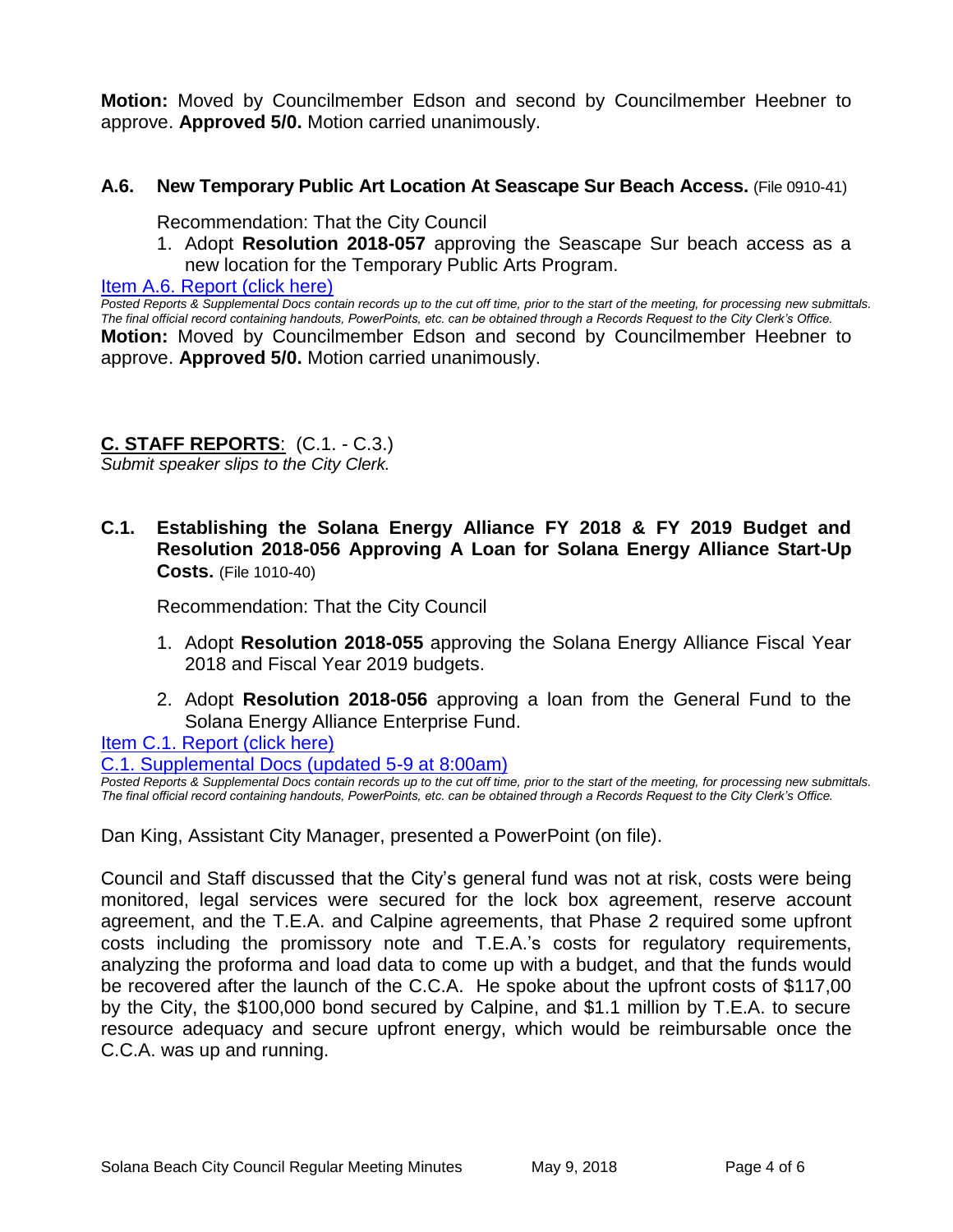**Motion:** Moved by Councilmember Edson and second by Councilmember Heebner to approve. **Approved 5/0.** Motion carried unanimously.

#### **A.6. New Temporary Public Art Location At Seascape Sur Beach Access.** (File 0910-41)

Recommendation: That the City Council

1. Adopt **Resolution 2018-057** approving the Seascape Sur beach access as a new location for the Temporary Public Arts Program.

#### [Item A.6. Report \(click here\)](https://solanabeach.govoffice3.com/vertical/Sites/%7B840804C2-F869-4904-9AE3-720581350CE7%7D/uploads/Item_A.6._Report_(click_here)_5-9-18.PDF)

*Posted Reports & Supplemental Docs contain records up to the cut off time, prior to the start of the meeting, for processing new submittals. The final official record containing handouts, PowerPoints, etc. can be obtained through a Records Request to the City Clerk's Office.* **Motion:** Moved by Councilmember Edson and second by Councilmember Heebner to approve. **Approved 5/0.** Motion carried unanimously.

# **C. STAFF REPORTS**: (C.1. - C.3.)

*Submit speaker slips to the City Clerk.*

**C.1. Establishing the Solana Energy Alliance FY 2018 & FY 2019 Budget and Resolution 2018-056 Approving A Loan for Solana Energy Alliance Start-Up Costs.** (File 1010-40)

Recommendation: That the City Council

- 1. Adopt **Resolution 2018-055** approving the Solana Energy Alliance Fiscal Year 2018 and Fiscal Year 2019 budgets.
- 2. Adopt **Resolution 2018-056** approving a loan from the General Fund to the Solana Energy Alliance Enterprise Fund.

[Item C.1. Report \(click here\)](https://solanabeach.govoffice3.com/vertical/Sites/%7B840804C2-F869-4904-9AE3-720581350CE7%7D/uploads/Item_C.1._Report_(click_here)_5-9-18.pdf)

[C.1. Supplemental Docs \(updated 5-9 at 8:00am\)](https://solanabeach.govoffice3.com/vertical/Sites/%7B840804C2-F869-4904-9AE3-720581350CE7%7D/uploads/C.1._Supplemental_Docs_(updated_5-9_at_8am).PDF)

*Posted Reports & Supplemental Docs contain records up to the cut off time, prior to the start of the meeting, for processing new submittals. The final official record containing handouts, PowerPoints, etc. can be obtained through a Records Request to the City Clerk's Office.*

Dan King, Assistant City Manager, presented a PowerPoint (on file).

Council and Staff discussed that the City's general fund was not at risk, costs were being monitored, legal services were secured for the lock box agreement, reserve account agreement, and the T.E.A. and Calpine agreements, that Phase 2 required some upfront costs including the promissory note and T.E.A.'s costs for regulatory requirements, analyzing the proforma and load data to come up with a budget, and that the funds would be recovered after the launch of the C.C.A. He spoke about the upfront costs of \$117,00 by the City, the \$100,000 bond secured by Calpine, and \$1.1 million by T.E.A. to secure resource adequacy and secure upfront energy, which would be reimbursable once the C.C.A. was up and running.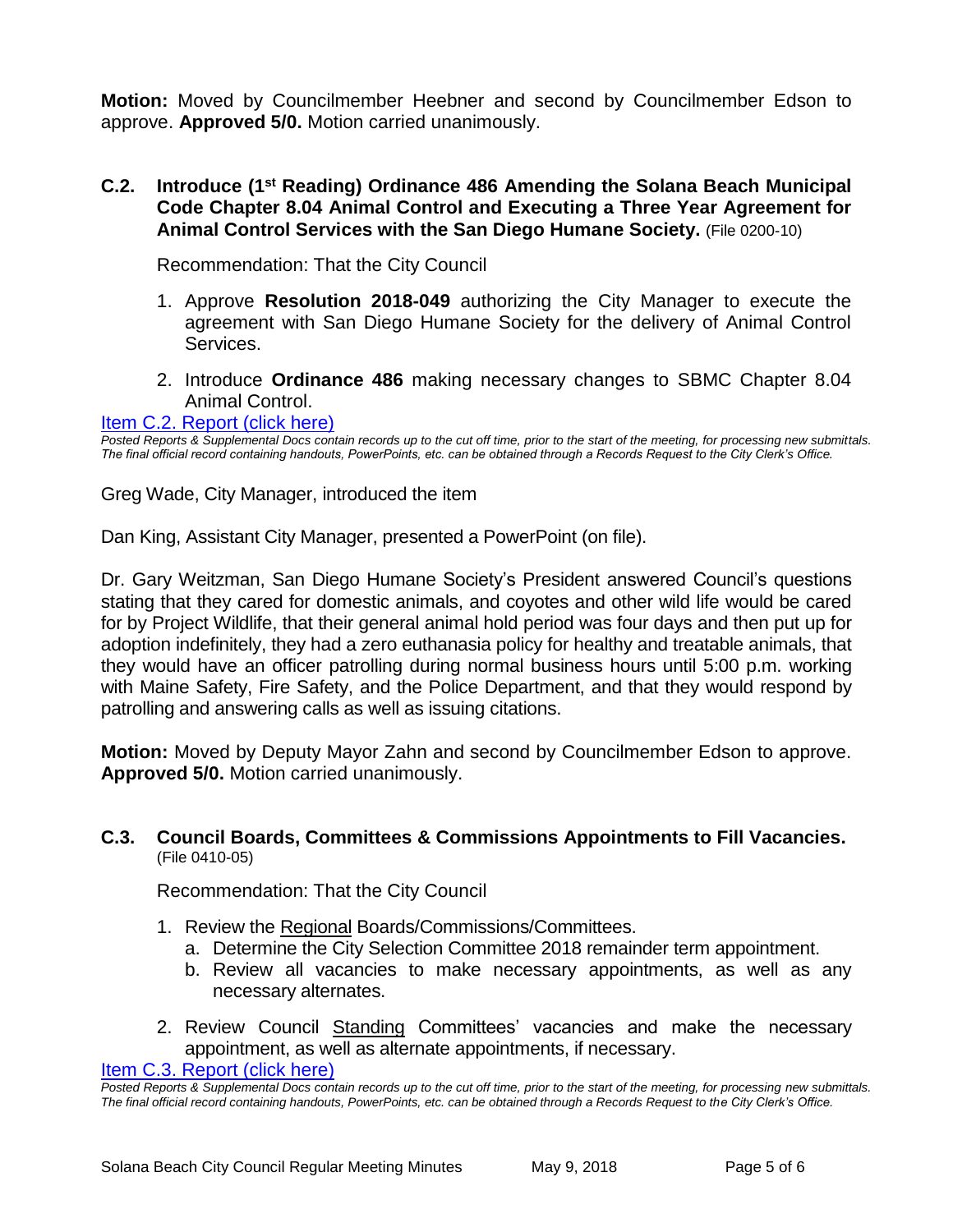**Motion:** Moved by Councilmember Heebner and second by Councilmember Edson to approve. **Approved 5/0.** Motion carried unanimously.

# **C.2. Introduce (1st Reading) Ordinance 486 Amending the Solana Beach Municipal Code Chapter 8.04 Animal Control and Executing a Three Year Agreement for Animal Control Services with the San Diego Humane Society.** (File 0200-10)

Recommendation: That the City Council

- 1. Approve **Resolution 2018-049** authorizing the City Manager to execute the agreement with San Diego Humane Society for the delivery of Animal Control Services.
- 2. Introduce **Ordinance 486** making necessary changes to SBMC Chapter 8.04 Animal Control.

[Item C.2. Report \(click here\)](https://solanabeach.govoffice3.com/vertical/Sites/%7B840804C2-F869-4904-9AE3-720581350CE7%7D/uploads/Item_C.2._Report_(click_here)_5-9-18.PDF)

*Posted Reports & Supplemental Docs contain records up to the cut off time, prior to the start of the meeting, for processing new submittals. The final official record containing handouts, PowerPoints, etc. can be obtained through a Records Request to the City Clerk's Office.*

Greg Wade, City Manager, introduced the item

Dan King, Assistant City Manager, presented a PowerPoint (on file).

Dr. Gary Weitzman, San Diego Humane Society's President answered Council's questions stating that they cared for domestic animals, and coyotes and other wild life would be cared for by Project Wildlife, that their general animal hold period was four days and then put up for adoption indefinitely, they had a zero euthanasia policy for healthy and treatable animals, that they would have an officer patrolling during normal business hours until 5:00 p.m. working with Maine Safety, Fire Safety, and the Police Department, and that they would respond by patrolling and answering calls as well as issuing citations.

**Motion:** Moved by Deputy Mayor Zahn and second by Councilmember Edson to approve. **Approved 5/0.** Motion carried unanimously.

#### **C.3. Council Boards, Committees & Commissions Appointments to Fill Vacancies.** (File 0410-05)

Recommendation: That the City Council

- 1. Review the Regional Boards/Commissions/Committees.
	- a. Determine the City Selection Committee 2018 remainder term appointment.
	- b. Review all vacancies to make necessary appointments, as well as any necessary alternates.
- 2. Review Council Standing Committees' vacancies and make the necessary appointment, as well as alternate appointments, if necessary.

[Item C.3. Report](https://solanabeach.govoffice3.com/vertical/Sites/%7B840804C2-F869-4904-9AE3-720581350CE7%7D/uploads/Item_C.3._Report_(click_here)_5-9-18.PDF) (click here)

*Posted Reports & Supplemental Docs contain records up to the cut off time, prior to the start of the meeting, for processing new submittals. The final official record containing handouts, PowerPoints, etc. can be obtained through a Records Request to the City Clerk's Office.*